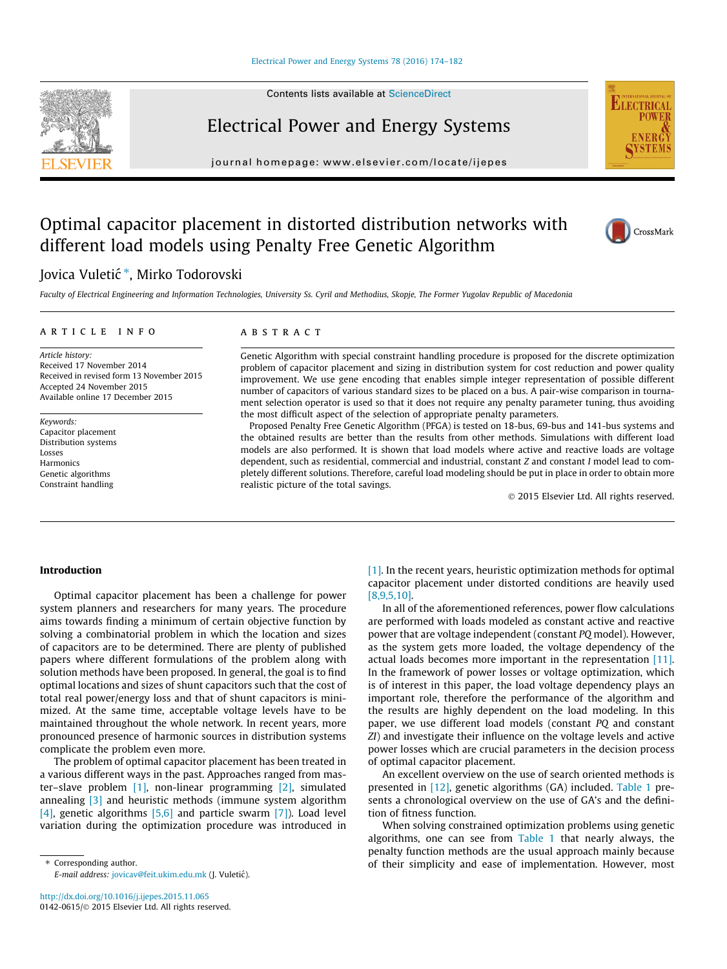#### [Electrical Power and Energy Systems 78 \(2016\) 174–182](http://dx.doi.org/10.1016/j.ijepes.2015.11.065)

## Electrical Power and Energy Systems

journal homepage: [www.elsevier.com/locate/ijepes](http://www.elsevier.com/locate/ijepes)

## Optimal capacitor placement in distorted distribution networks with different load models using Penalty Free Genetic Algorithm

### Jovica Vuletić \*, Mirko Todorovski

Faculty of Electrical Engineering and Information Technologies, University Ss. Cyril and Methodius, Skopje, The Former Yugolav Republic of Macedonia

#### article info

Article history: Received 17 November 2014 Received in revised form 13 November 2015 Accepted 24 November 2015 Available online 17 December 2015

Keywords: Capacitor placement Distribution systems Losses **Harmonics** Genetic algorithms Constraint handling

#### **ABSTRACT**

Genetic Algorithm with special constraint handling procedure is proposed for the discrete optimization problem of capacitor placement and sizing in distribution system for cost reduction and power quality improvement. We use gene encoding that enables simple integer representation of possible different number of capacitors of various standard sizes to be placed on a bus. A pair-wise comparison in tournament selection operator is used so that it does not require any penalty parameter tuning, thus avoiding the most difficult aspect of the selection of appropriate penalty parameters.

Proposed Penalty Free Genetic Algorithm (PFGA) is tested on 18-bus, 69-bus and 141-bus systems and the obtained results are better than the results from other methods. Simulations with different load models are also performed. It is shown that load models where active and reactive loads are voltage dependent, such as residential, commercial and industrial, constant Z and constant I model lead to completely different solutions. Therefore, careful load modeling should be put in place in order to obtain more realistic picture of the total savings.

2015 Elsevier Ltd. All rights reserved.

#### Introduction

Optimal capacitor placement has been a challenge for power system planners and researchers for many years. The procedure aims towards finding a minimum of certain objective function by solving a combinatorial problem in which the location and sizes of capacitors are to be determined. There are plenty of published papers where different formulations of the problem along with solution methods have been proposed. In general, the goal is to find optimal locations and sizes of shunt capacitors such that the cost of total real power/energy loss and that of shunt capacitors is minimized. At the same time, acceptable voltage levels have to be maintained throughout the whole network. In recent years, more pronounced presence of harmonic sources in distribution systems complicate the problem even more.

The problem of optimal capacitor placement has been treated in a various different ways in the past. Approaches ranged from master–slave problem  $\begin{bmatrix} 1 \end{bmatrix}$ , non-linear programming  $\begin{bmatrix} 2 \end{bmatrix}$ , simulated annealing [3] and heuristic methods (immune system algorithm [4], genetic algorithms [5,6] and particle swarm [7]). Load level variation during the optimization procedure was introduced in

⇑ Corresponding author. E-mail address: [jovicav@feit.ukim.edu.mk](mailto:jovicav@feit.ukim.edu.mk) (J. Vuletić). [1]. In the recent years, heuristic optimization methods for optimal capacitor placement under distorted conditions are heavily used [8,9,5,10].

In all of the aforementioned references, power flow calculations are performed with loads modeled as constant active and reactive power that are voltage independent (constant PQ model). However, as the system gets more loaded, the voltage dependency of the actual loads becomes more important in the representation [11]. In the framework of power losses or voltage optimization, which is of interest in this paper, the load voltage dependency plays an important role, therefore the performance of the algorithm and the results are highly dependent on the load modeling. In this paper, we use different load models (constant PQ and constant ZI) and investigate their influence on the voltage levels and active power losses which are crucial parameters in the decision process of optimal capacitor placement.

An excellent overview on the use of search oriented methods is presented in [12], genetic algorithms (GA) included. Table 1 presents a chronological overview on the use of GA's and the definition of fitness function.

When solving constrained optimization problems using genetic algorithms, one can see from Table 1 that nearly always, the penalty function methods are the usual approach mainly because of their simplicity and ease of implementation. However, most





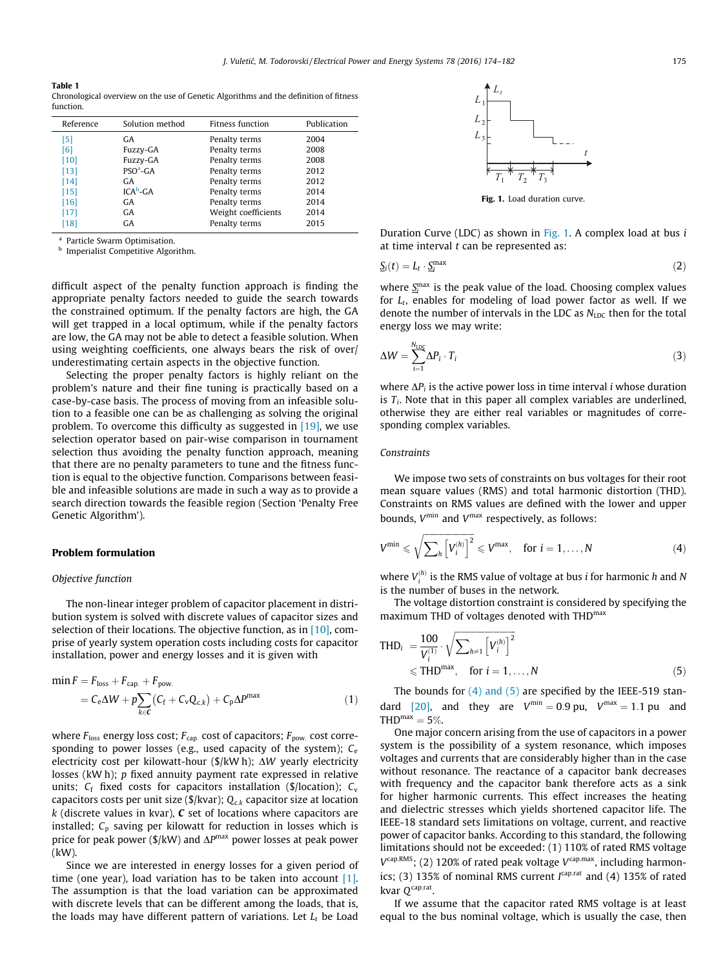#### Table 1 Chronological overview on the use of Genetic Algorithms and the definition of fitness function.

| Reference | Solution method | Fitness function    | Publication |
|-----------|-----------------|---------------------|-------------|
| [5]       | GA              | Penalty terms       | 2004        |
| [6]       | Fuzzy-GA        | Penalty terms       | 2008        |
| [10]      | Fuzzy-GA        | Penalty terms       | 2008        |
| $[13]$    | $PSOa-GA$       | Penalty terms       | 2012        |
| $[14]$    | GA              | Penalty terms       | 2012        |
| $[15]$    | $ICAb-CA$       | Penalty terms       | 2014        |
| [16]      | GA              | Penalty terms       | 2014        |
| $[17]$    | GA              | Weight coefficients | 2014        |
| [18]      | GA              | Penalty terms       | 2015        |

<sup>a</sup> Particle Swarm Optimisation.

**b** Imperialist Competitive Algorithm.

difficult aspect of the penalty function approach is finding the appropriate penalty factors needed to guide the search towards the constrained optimum. If the penalty factors are high, the GA will get trapped in a local optimum, while if the penalty factors are low, the GA may not be able to detect a feasible solution. When using weighting coefficients, one always bears the risk of over/ underestimating certain aspects in the objective function.

Selecting the proper penalty factors is highly reliant on the problem's nature and their fine tuning is practically based on a case-by-case basis. The process of moving from an infeasible solution to a feasible one can be as challenging as solving the original problem. To overcome this difficulty as suggested in [19], we use selection operator based on pair-wise comparison in tournament selection thus avoiding the penalty function approach, meaning that there are no penalty parameters to tune and the fitness function is equal to the objective function. Comparisons between feasible and infeasible solutions are made in such a way as to provide a search direction towards the feasible region (Section 'Penalty Free Genetic Algorithm').

#### Problem formulation

#### Objective function

The non-linear integer problem of capacitor placement in distribution system is solved with discrete values of capacitor sizes and selection of their locations. The objective function, as in [10], comprise of yearly system operation costs including costs for capacitor installation, power and energy losses and it is given with

$$
\begin{aligned} \min F &= F_{\text{loss}} + F_{\text{cap.}} + F_{\text{pow.}} \\ &= C_{\text{e}} \Delta W + p \sum_{k \in \mathbf{C}} \left( C_{\text{f}} + C_{\text{v}} Q_{\text{c},k} \right) + C_{\text{p}} \Delta P^{\text{max}} \end{aligned} \tag{1}
$$

where  $F_{\text{loss}}$  energy loss cost;  $F_{\text{cap}}$  cost of capacitors;  $F_{\text{pow}}$  cost corresponding to power losses (e.g., used capacity of the system);  $C_e$ electricity cost per kilowatt-hour (\$/kW h);  $\Delta W$  yearly electricity losses (kW h); p fixed annuity payment rate expressed in relative units;  $C_f$  fixed costs for capacitors installation (\$/location);  $C_v$ capacitors costs per unit size ( $\frac{1}{2}$ /kvar); Q<sub>ck</sub> capacitor size at location  $k$  (discrete values in kvar),  $C$  set of locations where capacitors are installed;  $C_p$  saving per kilowatt for reduction in losses which is price for peak power ( $\frac{s}{k}$ W) and  $\Delta P$ <sup>max</sup> power losses at peak power (kW).

Since we are interested in energy losses for a given period of time (one year), load variation has to be taken into account [1]. The assumption is that the load variation can be approximated with discrete levels that can be different among the loads, that is, the loads may have different pattern of variations. Let  $L_t$  be Load



Fig. 1. Load duration curve.

Duration Curve (LDC) as shown in Fig. 1. A complex load at bus  $i$ at time interval  $t$  can be represented as:

$$
\underline{S}_i(t) = L_t \cdot \underline{S}_i^{\max} \tag{2}
$$

where  $S_i^{\text{max}}$  is the peak value of the load. Choosing complex values for  $L_t$ , enables for modeling of load power factor as well. If we denote the number of intervals in the LDC as  $N_{\text{LDC}}$  then for the total energy loss we may write:

$$
\Delta W = \sum_{i=1}^{N_{\rm LDC}} \Delta P_i \cdot T_i \tag{3}
$$

where  $\Delta P_i$  is the active power loss in time interval *i* whose duration is  $T_i$ . Note that in this paper all complex variables are underlined, otherwise they are either real variables or magnitudes of corresponding complex variables.

#### Constraints

We impose two sets of constraints on bus voltages for their root mean square values (RMS) and total harmonic distortion (THD). Constraints on RMS values are defined with the lower and upper bounds,  $V^{\text{min}}$  and  $V^{\text{max}}$  respectively, as follows:

$$
V^{\min} \leqslant \sqrt{\sum_{h} \left[ V_i^{(h)} \right]^2} \leqslant V^{\max}, \quad \text{for } i = 1, \dots, N \tag{4}
$$

where  $V_i^{(h)}$  is the RMS value of voltage at bus i for harmonic h and N is the number of buses in the network.

The voltage distortion constraint is considered by specifying the maximum THD of voltages denoted with THD<sup>max</sup>

$$
\begin{aligned} \text{THD}_{i} \ &= \frac{100}{V_{i}^{(1)}} \cdot \sqrt{\sum_{h \neq 1} \left[ V_{i}^{(h)} \right]^{2}} \\ &\leqslant \text{THD}^{\max}, \quad \text{for } i = 1, \dots, N \end{aligned} \tag{5}
$$

The bounds for  $(4)$  and  $(5)$  are specified by the IEEE-519 standard [20], and they are  $V^{\text{min}} = 0.9 \text{ pu}$ ,  $V^{\text{max}} = 1.1 \text{ pu}$  and  $THD<sup>max</sup> = 5\%.$ 

One major concern arising from the use of capacitors in a power system is the possibility of a system resonance, which imposes voltages and currents that are considerably higher than in the case without resonance. The reactance of a capacitor bank decreases with frequency and the capacitor bank therefore acts as a sink for higher harmonic currents. This effect increases the heating and dielectric stresses which yields shortened capacitor life. The IEEE-18 standard sets limitations on voltage, current, and reactive power of capacitor banks. According to this standard, the following limitations should not be exceeded: (1) 110% of rated RMS voltage  $V^{\text{cap,RMS}}$ ; (2) 120% of rated peak voltage  $V^{\text{cap,max}}$ , including harmonics; (3) 135% of nominal RMS current  $I^{cap, rat}$  and (4) 135% of rated kvar  $O^{cap, rat}$ .

If we assume that the capacitor rated RMS voltage is at least equal to the bus nominal voltage, which is usually the case, then